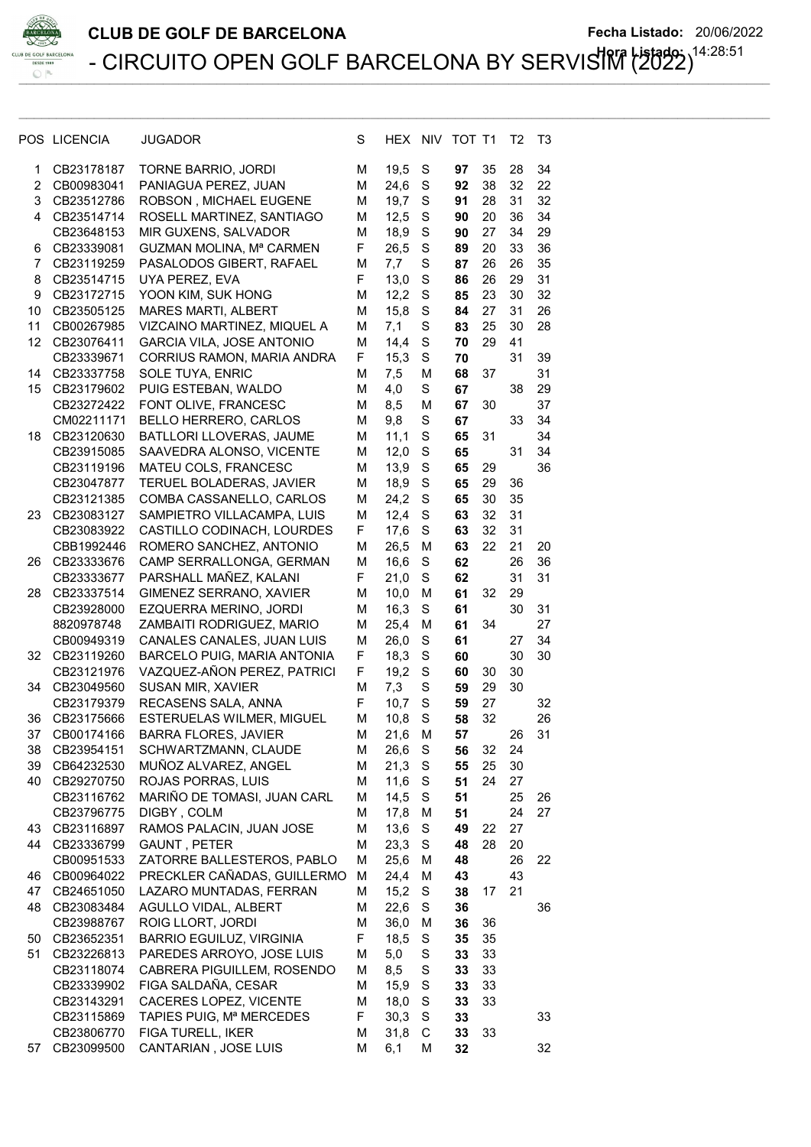

|                | POS LICENCIA | JUGADOR                          | S | HEX  | <b>NIV</b> | TOT T1 |    | T2 | T3 |
|----------------|--------------|----------------------------------|---|------|------------|--------|----|----|----|
| 1              | CB23178187   | TORNE BARRIO, JORDI              | М | 19,5 | S          | 97     | 35 | 28 | 34 |
| $\overline{2}$ | CB00983041   | PANIAGUA PEREZ, JUAN             | м | 24,6 | S          | 92     | 38 | 32 | 22 |
| 3              | CB23512786   | ROBSON, MICHAEL EUGENE           | м | 19,7 | S          | 91     | 28 | 31 | 32 |
| 4              | CB23514714   | ROSELL MARTINEZ, SANTIAGO        | м | 12,5 | S          | 90     | 20 | 36 | 34 |
|                | CB23648153   | MIR GUXENS, SALVADOR             | м | 18,9 | S          | 90     | 27 | 34 | 29 |
| 6              | CB23339081   | GUZMAN MOLINA, Mª CARMEN         | F | 26,5 | S          | 89     | 20 | 33 | 36 |
| 7              | CB23119259   | PASALODOS GIBERT, RAFAEL         | М | 7,7  | S          | 87     | 26 | 26 | 35 |
| 8              | CB23514715   | UYA PEREZ, EVA                   | F | 13,0 | S          | 86     | 26 | 29 | 31 |
| 9              | CB23172715   | YOON KIM, SUK HONG               | M | 12,2 | S          | 85     | 23 | 30 | 32 |
| 10             | CB23505125   | <b>MARES MARTI, ALBERT</b>       | м | 15,8 | S          | 84     | 27 | 31 | 26 |
| 11             | CB00267985   | VIZCAINO MARTINEZ, MIQUEL A      | M | 7,1  | S          | 83     | 25 | 30 | 28 |
| 12             | CB23076411   | <b>GARCIA VILA, JOSE ANTONIO</b> | M | 14,4 | S          | 70     | 29 | 41 |    |
|                | CB23339671   | CORRIUS RAMON, MARIA ANDRA       | F | 15,3 | S          | 70     |    | 31 | 39 |
| 14             | CB23337758   | SOLE TUYA, ENRIC                 | м | 7,5  | M          | 68     | 37 |    | 31 |
| 15             | CB23179602   | PUIG ESTEBAN, WALDO              | M | 4,0  | S          | 67     |    | 38 | 29 |
|                | CB23272422   | FONT OLIVE, FRANCESC             | M | 8,5  | M          | 67     | 30 |    | 37 |
|                | CM02211171   | <b>BELLO HERRERO, CARLOS</b>     | м | 9,8  | S          | 67     |    | 33 | 34 |
| 18             | CB23120630   | BATLLORI LLOVERAS, JAUME         | м | 11,1 | S          | 65     | 31 |    | 34 |
|                | CB23915085   | SAAVEDRA ALONSO, VICENTE         | M | 12,0 | S          | 65     |    | 31 | 34 |
|                | CB23119196   | MATEU COLS, FRANCESC             | м | 13,9 | S          | 65     | 29 |    | 36 |
|                | CB23047877   | TERUEL BOLADERAS, JAVIER         | м | 18,9 | S          | 65     | 29 | 36 |    |
|                | CB23121385   | COMBA CASSANELLO, CARLOS         | M | 24,2 | S          | 65     | 30 | 35 |    |
| 23             | CB23083127   | SAMPIETRO VILLACAMPA, LUIS       | M | 12,4 | S          | 63     | 32 | 31 |    |
|                | CB23083922   | CASTILLO CODINACH, LOURDES       | F | 17,6 | S          | 63     | 32 | 31 |    |
|                | CBB1992446   | ROMERO SANCHEZ, ANTONIO          | M | 26,5 | M          | 63     | 22 | 21 | 20 |
| 26             | CB23333676   | CAMP SERRALLONGA, GERMAN         | M | 16,6 | S          | 62     |    | 26 | 36 |
|                | CB23333677   | PARSHALL MAÑEZ, KALANI           | F | 21,0 | S          | 62     |    | 31 | 31 |
| 28             | CB23337514   | GIMENEZ SERRANO, XAVIER          | м | 10,0 | M          | 61     | 32 | 29 |    |
|                | CB23928000   | EZQUERRA MERINO, JORDI           | м | 16,3 | S          | 61     |    | 30 | 31 |
|                | 8820978748   | ZAMBAITI RODRIGUEZ, MARIO        | м | 25,4 | M          | 61     | 34 |    | 27 |
|                | CB00949319   | CANALES CANALES, JUAN LUIS       | M | 26,0 | S          | 61     |    | 27 | 34 |
| 32             | CB23119260   | BARCELO PUIG, MARIA ANTONIA      | F | 18,3 | S          | 60     |    | 30 | 30 |
|                | CB23121976   | VAZQUEZ-AÑON PEREZ, PATRICI      | F | 19,2 | S          | 60     | 30 | 30 |    |
| 34             | CB23049560   | SUSAN MIR, XAVIER                | M | 7,3  | S          | 59     | 29 | 30 |    |
|                | CB23179379   | RECASENS SALA, ANNA              | F | 10,7 | S          | 59     | 27 |    | 32 |
| 36             | CB23175666   | <b>ESTERUELAS WILMER, MIGUEL</b> | M | 10,8 | S          | 58     | 32 |    | 26 |
| 37             | CB00174166   | <b>BARRA FLORES, JAVIER</b>      | M | 21,6 | M          | 57     |    | 26 | 31 |
| 38             | CB23954151   | SCHWARTZMANN, CLAUDE             | M | 26,6 | S          | 56     | 32 | 24 |    |
| 39             | CB64232530   | MUÑOZ ALVAREZ, ANGEL             | M | 21,3 | S          | 55     | 25 | 30 |    |
| 40             | CB29270750   | ROJAS PORRAS, LUIS               | М | 11,6 | S          | 51     | 24 | 27 |    |
|                | CB23116762   | MARIÑO DE TOMASI, JUAN CARL      | М | 14,5 | S          | 51     |    | 25 | 26 |
|                | CB23796775   | DIGBY, COLM                      | М | 17,8 | M          | 51     |    | 24 | 27 |
| 43             | CB23116897   | RAMOS PALACIN, JUAN JOSE         | М | 13,6 | S          | 49     | 22 | 27 |    |
| 44             | CB23336799   | GAUNT, PETER                     | M | 23,3 | S          | 48     | 28 | 20 |    |
|                | CB00951533   | ZATORRE BALLESTEROS, PABLO       | M | 25,6 | M          | 48     |    | 26 | 22 |
| 46             | CB00964022   | PRECKLER CAÑADAS, GUILLERMO      | M | 24,4 | M          | 43     |    | 43 |    |
| 47             | CB24651050   | LAZARO MUNTADAS, FERRAN          | М | 15,2 | S          | 38     | 17 | 21 |    |
| 48             | CB23083484   | AGULLO VIDAL, ALBERT             | М | 22,6 | S          | 36     |    |    | 36 |
|                | CB23988767   | ROIG LLORT, JORDI                | М | 36,0 | M          | 36     | 36 |    |    |
| 50             | CB23652351   | <b>BARRIO EGUILUZ, VIRGINIA</b>  | F | 18,5 | S          | 35     | 35 |    |    |
| 51             | CB23226813   | PAREDES ARROYO, JOSE LUIS        | М | 5,0  | S          | 33     | 33 |    |    |
|                | CB23118074   | CABRERA PIGUILLEM, ROSENDO       | М | 8,5  | S          | 33     | 33 |    |    |
|                | CB23339902   | FIGA SALDAÑA, CESAR              | М | 15,9 | S          | 33     | 33 |    |    |
|                | CB23143291   | CACERES LOPEZ, VICENTE           | М | 18,0 | S          | 33     | 33 |    |    |
|                | CB23115869   | TAPIES PUIG, Mª MERCEDES         | F | 30,3 | S          | 33     |    |    | 33 |
|                | CB23806770   | FIGA TURELL, IKER                | М | 31,8 | С          | 33     | 33 |    |    |
| 57             | CB23099500   | CANTARIAN, JOSE LUIS             | M | 6,1  | M          | 32     |    |    | 32 |